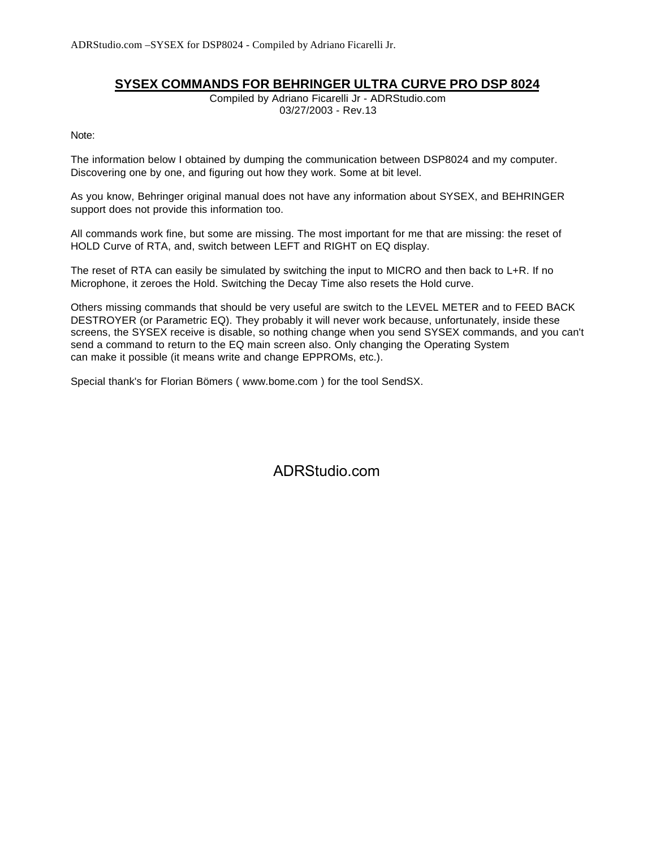## **SYSEX COMMANDS FOR BEHRINGER ULTRA CURVE PRO DSP 8024**

[Compiled by Adriano Ficarelli Jr - ADRStudio.com](http://www.adrstudio.com) 03/27/2003 - Rev.13

Note:

The information below I obtained by dumping the communication between DSP8024 and my computer. Discovering one by one, and figuring out how they work. Some at bit level.

As you know, Behringer original manual does not have any information about SYSEX, and BEHRINGER support does not provide this information too.

All commands work fine, but some are missing. The most important for me that are missing: the reset of HOLD Curve of RTA, and, switch between LEFT and RIGHT on EQ display.

The reset of RTA can easily be simulated by switching the input to MICRO and then back to L+R. If no Microphone, it zeroes the Hold. Switching the Decay Time also resets the Hold curve.

Others missing commands that should be very useful are switch to the LEVEL METER and to FEED BACK DESTROYER (or Parametric EQ). They probably it will never work because, unfortunately, inside these screens, the SYSEX receive is disable, so nothing change when you send SYSEX commands, and you can't send a command to return to the EQ main screen also. Only changing the Operating System can make it possible (it means write and change EPPROMs, etc.).

Special thank's for Florian Bömers ( www.bome.com ) for the tool SendSX.

[ADRStudio.com](http://www.adrstudio.com)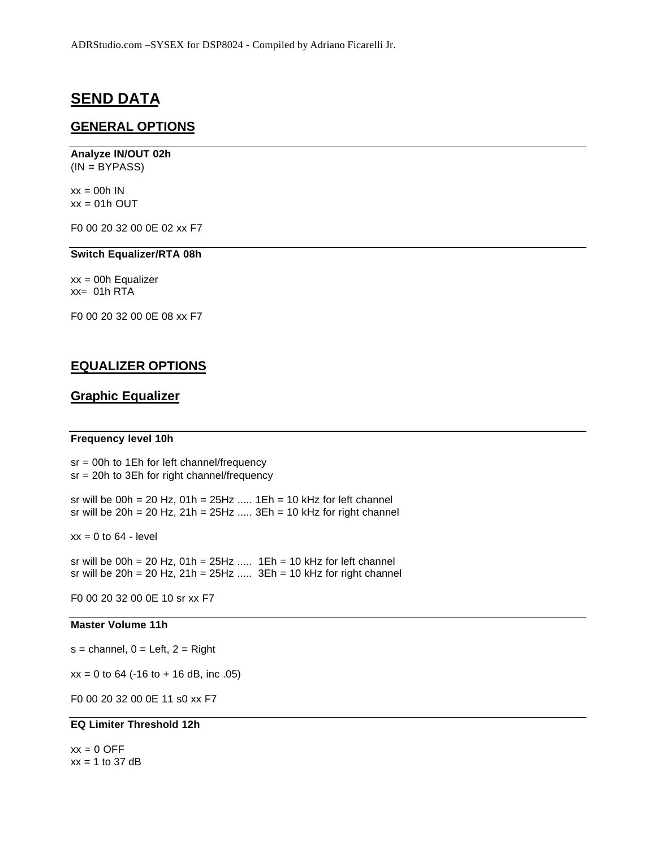## **SEND DATA**

## **GENERAL OPTIONS**

# **Analyze IN/OUT 02h**

(IN = BYPASS)

 $xx = 00h$  IN  $xx = 01h$  OUT

F0 00 20 32 00 0E 02 xx F7

#### **Switch Equalizer/RTA 08h**

 $xx = 00h$  Equalizer  $xx = 01h RTA$ 

F0 00 20 32 00 0E 08 xx F7

## **EQUALIZER OPTIONS**

## **Graphic Equalizer**

#### **Frequency level 10h**

sr = 00h to 1Eh for left channel/frequency sr = 20h to 3Eh for right channel/frequency sr will be  $00h = 20 Hz$ ,  $01h = 25Hz$  .....  $1Eh = 10 kHz$  for left channel

 $xx = 0$  to 64 - level

sr will be  $00h = 20 Hz$ ,  $01h = 25Hz$  .....  $1Eh = 10 kHz$  for left channel sr will be  $20h = 20 Hz$ ,  $21h = 25Hz$  .....  $3Eh = 10 kHz$  for right channel

sr will be 20h = 20 Hz,  $21h = 25Hz$  .....  $3Eh = 10$  kHz for right channel

F0 00 20 32 00 0E 10 sr xx F7

#### **Master Volume 11h**

 $s =$  channel,  $0 =$  Left,  $2 =$  Right

 $xx = 0$  to 64 (-16 to + 16 dB, inc .05)

F0 00 20 32 00 0E 11 s0 xx F7

### **EQ Limiter Threshold 12h**

 $xx = 0$  OFF  $xx = 1$  to 37 dB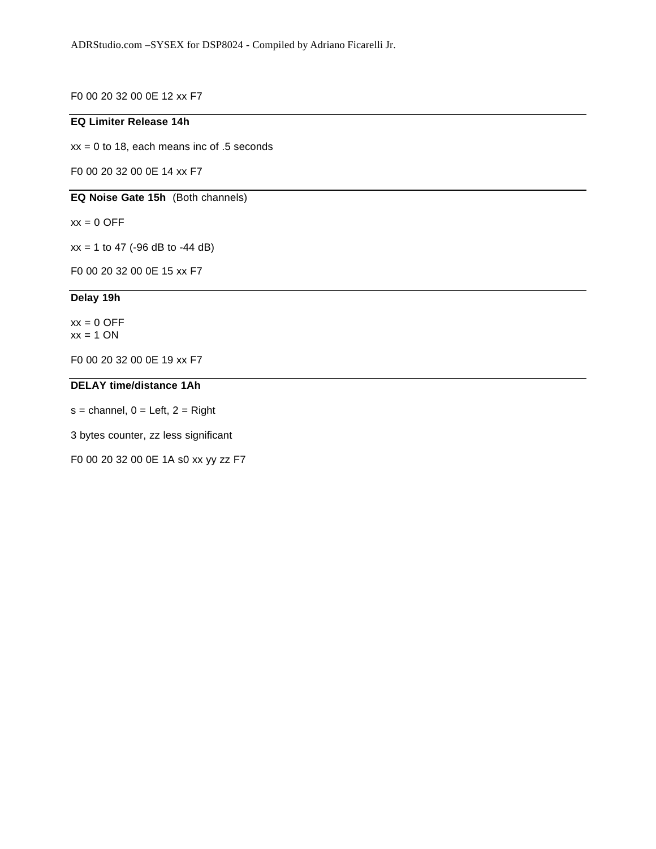F0 00 20 32 00 0E 12 xx F7

## **EQ Limiter Release 14h**

 $xx = 0$  to 18, each means inc of .5 seconds

F0 00 20 32 00 0E 14 xx F7

**EQ Noise Gate 15h** (Both channels)

 $xx = 0$  OFF

 $xx = 1$  to 47 (-96 dB to -44 dB)

F0 00 20 32 00 0E 15 xx F7

## **Delay 19h**

 $xx = 0$  OFF  $xx = 1 ON$ 

F0 00 20 32 00 0E 19 xx F7

## **DELAY time/distance 1Ah**

 $s =$  channel,  $0 =$  Left,  $2 =$  Right

3 bytes counter, zz less significant

F0 00 20 32 00 0E 1A s0 xx yy zz F7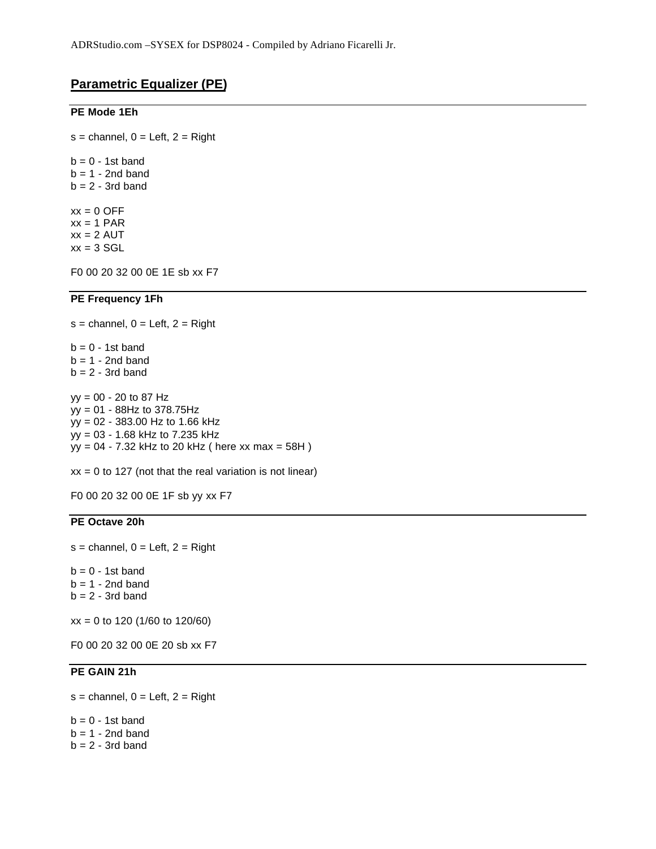## **Parametric Equalizer (PE)**

#### **PE Mode 1Eh**

 $s =$  channel,  $0 =$  Left,  $2 =$  Right

 $b = 0 - 1$ st band  $b = 1 - 2nd$  band  $b = 2 - 3rd$  band  $xx = 0$  OFF  $xx = 1$  PAR

 $xx = 2$  AUT  $xx = 3$  SGL

F0 00 20 32 00 0E 1E sb xx F7

#### **PE Frequency 1Fh**

 $s =$  channel,  $0 =$  Left,  $2 =$  Right  $b = 0 - 1$ st band  $b = 1 - 2nd$  band  $b = 2 - 3rd$  band yy = 00 - 20 to 87 Hz yy = 01 - 88Hz to 378.75Hz yy = 02 - 383.00 Hz to 1.66 kHz yy = 03 - 1.68 kHz to 7.235 kHz yy = 04 - 7.32 kHz to 20 kHz ( here xx max = 58H )

 $xx = 0$  to 127 (not that the real variation is not linear)

F0 00 20 32 00 0E 1F sb yy xx F7

### **PE Octave 20h**

 $s =$  channel,  $0 =$  Left,  $2 =$  Right

 $b = 0 - 1$ st band  $b = 1 - 2nd$  band  $b = 2 - 3rd$  band

xx = 0 to 120 (1/60 to 120/60)

F0 00 20 32 00 0E 20 sb xx F7

## **PE GAIN 21h**

 $s =$  channel,  $0 =$  Left,  $2 =$  Right

 $b = 0 - 1$ st band  $b = 1 - 2nd$  band  $b = 2 - 3rd$  band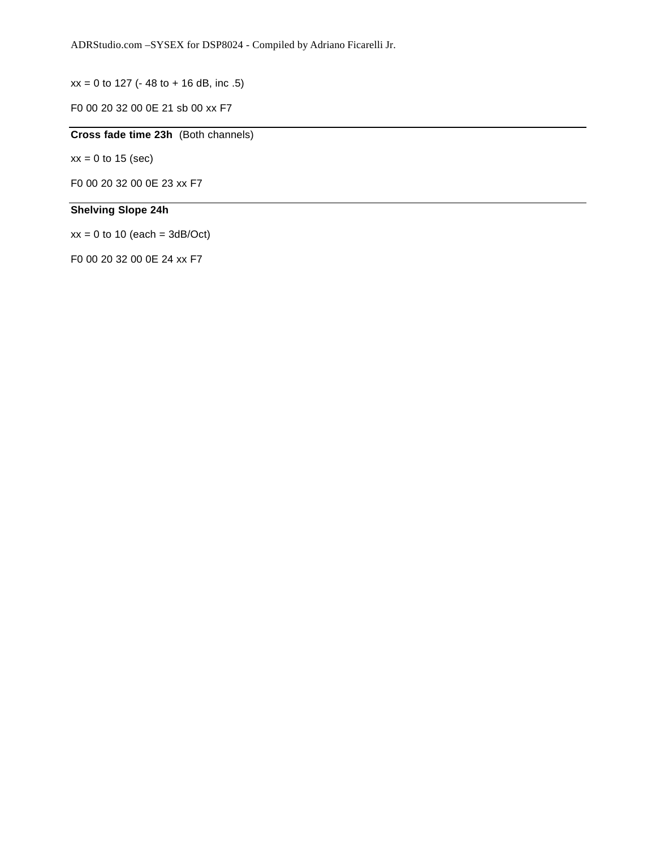$xx = 0$  to 127 (- 48 to + 16 dB, inc .5)

F0 00 20 32 00 0E 21 sb 00 xx F7

## **Cross fade time 23h** (Both channels)

 $xx = 0$  to 15 (sec)

F0 00 20 32 00 0E 23 xx F7

## **Shelving Slope 24h**

 $xx = 0$  to 10 (each = 3dB/Oct)

F0 00 20 32 00 0E 24 xx F7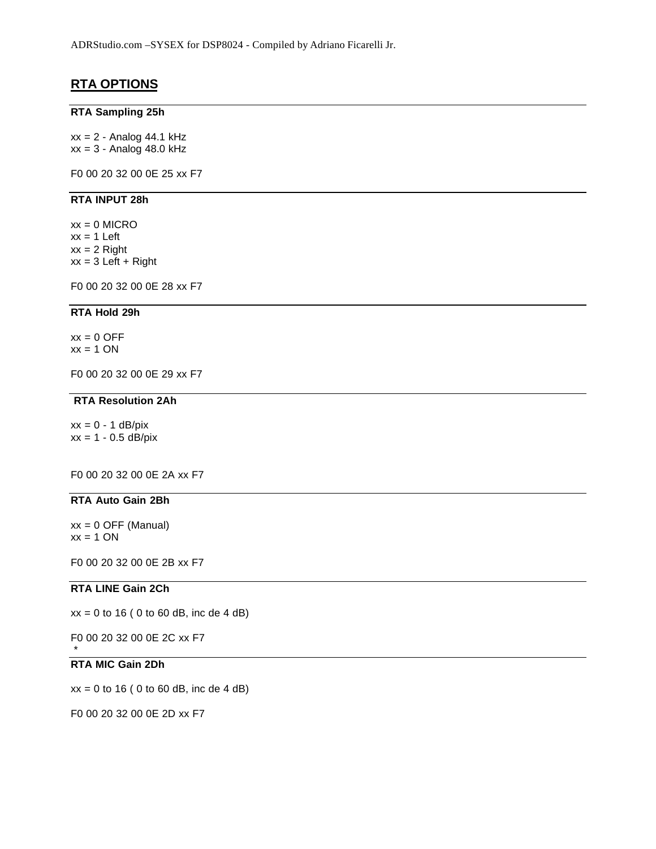## **RTA OPTIONS**

#### **RTA Sampling 25h**

 $xx = 2 -$  Analog 44.1 kHz  $xx = 3 -$  Analog 48.0 kHz

F0 00 20 32 00 0E 25 xx F7

#### **RTA INPUT 28h**

 $xx = 0$  MICRO  $xx = 1$  Left  $xx = 2$  Right  $xx = 3$  Left + Right

F0 00 20 32 00 0E 28 xx F7

#### **RTA Hold 29h**

 $xx = 0$  OFF  $xx = 1$  ON

F0 00 20 32 00 0E 29 xx F7

#### **RTA Resolution 2Ah**

 $xx = 0 - 1$  dB/pix  $xx = 1 - 0.5$  dB/pix

F0 00 20 32 00 0E 2A xx F7

#### **RTA Auto Gain 2Bh**

 $xx = 0$  OFF (Manual)  $xx = 1 ON$ 

F0 00 20 32 00 0E 2B xx F7

#### **RTA LINE Gain 2Ch**

 $xx = 0$  to 16 (0 to 60 dB, inc de 4 dB)

F0 00 20 32 00 0E 2C xx F7

## **RTA MIC Gain 2Dh**

\*

 $xx = 0$  to 16 (0 to 60 dB, inc de 4 dB)

F0 00 20 32 00 0E 2D xx F7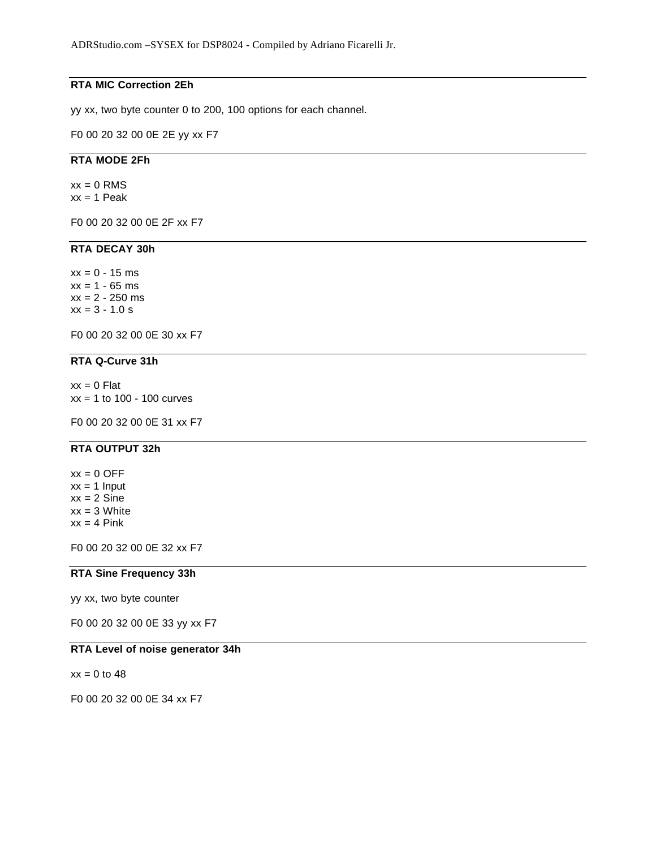## **RTA MIC Correction 2Eh**

yy xx, two byte counter 0 to 200, 100 options for each channel.

F0 00 20 32 00 0E 2E yy xx F7

### **RTA MODE 2Fh**

 $xx = 0$  RMS  $xx = 1$  Peak

F0 00 20 32 00 0E 2F xx F7

## **RTA DECAY 30h**

 $xx = 0 - 15$  ms  $xx = 1 - 65$  ms  $xx = 2 - 250$  ms  $xx = 3 - 1.0 s$ 

F0 00 20 32 00 0E 30 xx F7

### **RTA Q-Curve 31h**

 $xx = 0$  Flat  $xx = 1$  to 100 - 100 curves

F0 00 20 32 00 0E 31 xx F7

## **RTA OUTPUT 32h**

 $xx = 0$  OFF  $xx = 1$  Input  $xx = 2$  Sine  $xx = 3$  White  $xx = 4$  Pink

F0 00 20 32 00 0E 32 xx F7

#### **RTA Sine Frequency 33h**

yy xx, two byte counter

F0 00 20 32 00 0E 33 yy xx F7

#### **RTA Level of noise generator 34h**

 $xx = 0$  to 48

F0 00 20 32 00 0E 34 xx F7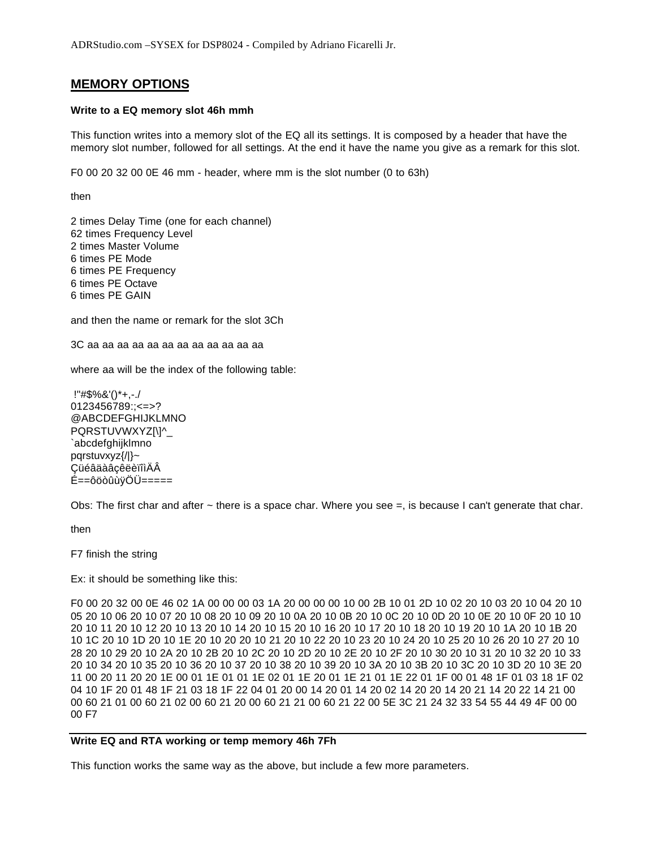## **MEMORY OPTIONS**

#### **Write to a EQ memory slot 46h mmh**

This function writes into a memory slot of the EQ all its settings. It is composed by a header that have the memory slot number, followed for all settings. At the end it have the name you give as a remark for this slot.

F0 00 20 32 00 0E 46 mm - header, where mm is the slot number (0 to 63h)

then

2 times Delay Time (one for each channel) 62 times Frequency Level 2 times Master Volume 6 times PE Mode 6 times PE Frequency 6 times PE Octave 6 times PE GAIN

and then the name or remark for the slot 3Ch

3C aa aa aa aa aa aa aa aa aa aa aa aa

where aa will be the index of the following table:

 !"#\$%&'()\*+,-./ 0123456789:;<=>? @ABCDEFGHIJKLMNO PQRSTUVWXYZ[\]^ `abcdefghijklmno pqrstuvxyz{/|}~ ÇüéâäàâçêëèïîìÄÂ É==ôöòûùÿÖÜ=====

Obs: The first char and after ~ there is a space char. Where you see =, is because I can't generate that char.

then

F7 finish the string

Ex: it should be something like this:

F0 00 20 32 00 0E 46 02 1A 00 00 00 03 1A 20 00 00 00 10 00 2B 10 01 2D 10 02 20 10 03 20 10 04 20 10 05 20 10 06 20 10 07 20 10 08 20 10 09 20 10 0A 20 10 0B 20 10 0C 20 10 0D 20 10 0E 20 10 0F 20 10 10 20 10 11 20 10 12 20 10 13 20 10 14 20 10 15 20 10 16 20 10 17 20 10 18 20 10 19 20 10 1A 20 10 1B 20 10 1C 20 10 1D 20 10 1E 20 10 20 20 10 21 20 10 22 20 10 23 20 10 24 20 10 25 20 10 26 20 10 27 20 10 28 20 10 29 20 10 2A 20 10 2B 20 10 2C 20 10 2D 20 10 2E 20 10 2F 20 10 30 20 10 31 20 10 32 20 10 33 20 10 34 20 10 35 20 10 36 20 10 37 20 10 38 20 10 39 20 10 3A 20 10 3B 20 10 3C 20 10 3D 20 10 3E 20 11 00 20 11 20 20 1E 00 01 1E 01 01 1E 02 01 1E 20 01 1E 21 01 1E 22 01 1F 00 01 48 1F 01 03 18 1F 02 04 10 1F 20 01 48 1F 21 03 18 1F 22 04 01 20 00 14 20 01 14 20 02 14 20 20 14 20 21 14 20 22 14 21 00 00 60 21 01 00 60 21 02 00 60 21 20 00 60 21 21 00 60 21 22 00 5E 3C 21 24 32 33 54 55 44 49 4F 00 00 00 F7

#### **Write EQ and RTA working or temp memory 46h 7Fh**

This function works the same way as the above, but include a few more parameters.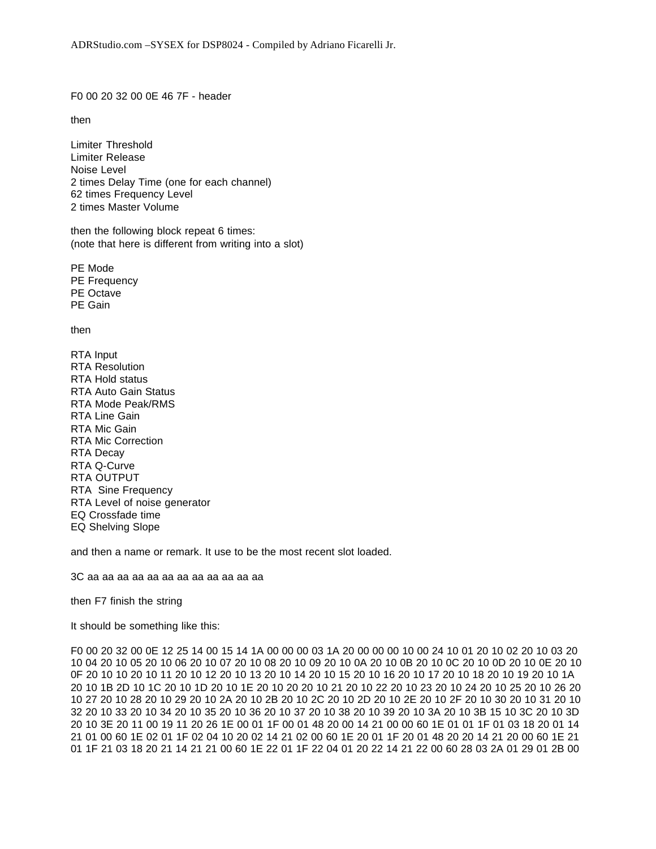F0 00 20 32 00 0E 46 7F - header

then

Limiter Threshold Limiter Release Noise Level 2 times Delay Time (one for each channel) 62 times Frequency Level 2 times Master Volume

then the following block repeat 6 times: (note that here is different from writing into a slot)

PE Mode PE Frequency PE Octave PE Gain

then

RTA Input RTA Resolution RTA Hold status RTA Auto Gain Status RTA Mode Peak/RMS RTA Line Gain RTA Mic Gain RTA Mic Correction RTA Decay RTA Q-Curve RTA OUTPUT RTA Sine Frequency RTA Level of noise generator EQ Crossfade time EQ Shelving Slope

and then a name or remark. It use to be the most recent slot loaded.

3C aa aa aa aa aa aa aa aa aa aa aa aa

then F7 finish the string

It should be something like this:

F0 00 20 32 00 0E 12 25 14 00 15 14 1A 00 00 00 03 1A 20 00 00 00 10 00 24 10 01 20 10 02 20 10 03 20 10 04 20 10 05 20 10 06 20 10 07 20 10 08 20 10 09 20 10 0A 20 10 0B 20 10 0C 20 10 0D 20 10 0E 20 10 0F 20 10 10 20 10 11 20 10 12 20 10 13 20 10 14 20 10 15 20 10 16 20 10 17 20 10 18 20 10 19 20 10 1A 20 10 1B 2D 10 1C 20 10 1D 20 10 1E 20 10 20 20 10 21 20 10 22 20 10 23 20 10 24 20 10 25 20 10 26 20 10 27 20 10 28 20 10 29 20 10 2A 20 10 2B 20 10 2C 20 10 2D 20 10 2E 20 10 2F 20 10 30 20 10 31 20 10 32 20 10 33 20 10 34 20 10 35 20 10 36 20 10 37 20 10 38 20 10 39 20 10 3A 20 10 3B 15 10 3C 20 10 3D 20 10 3E 20 11 00 19 11 20 26 1E 00 01 1F 00 01 48 20 00 14 21 00 00 60 1E 01 01 1F 01 03 18 20 01 14 21 01 00 60 1E 02 01 1F 02 04 10 20 02 14 21 02 00 60 1E 20 01 1F 20 01 48 20 20 14 21 20 00 60 1E 21 01 1F 21 03 18 20 21 14 21 21 00 60 1E 22 01 1F 22 04 01 20 22 14 21 22 00 60 28 03 2A 01 29 01 2B 00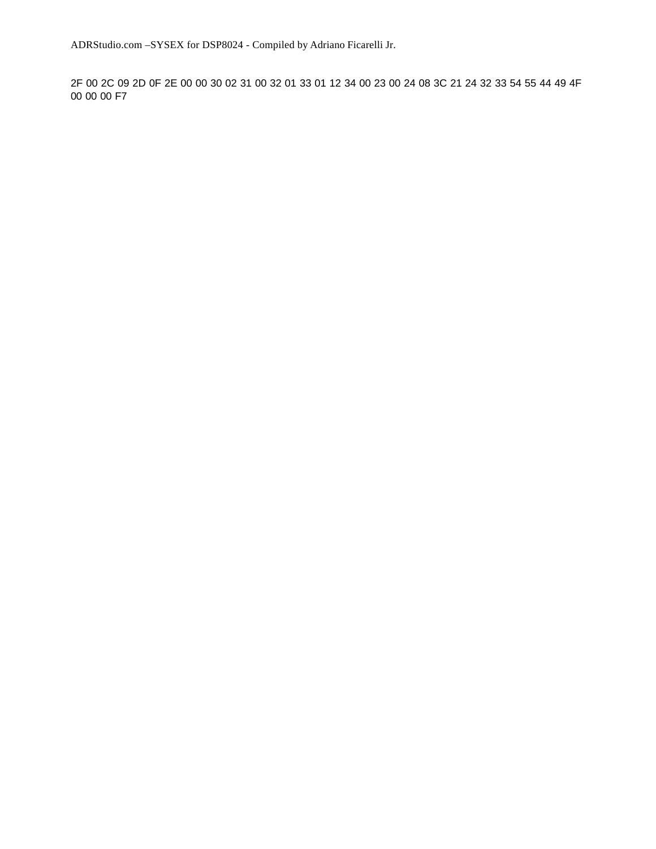ADRStudio.com –SYSEX for DSP8024 - Compiled by Adriano Ficarelli Jr.

2F 00 2C 09 2D 0F 2E 00 00 30 02 31 00 32 01 33 01 12 34 00 23 00 24 08 3C 21 24 32 33 54 55 44 49 4F 00 00 00 F7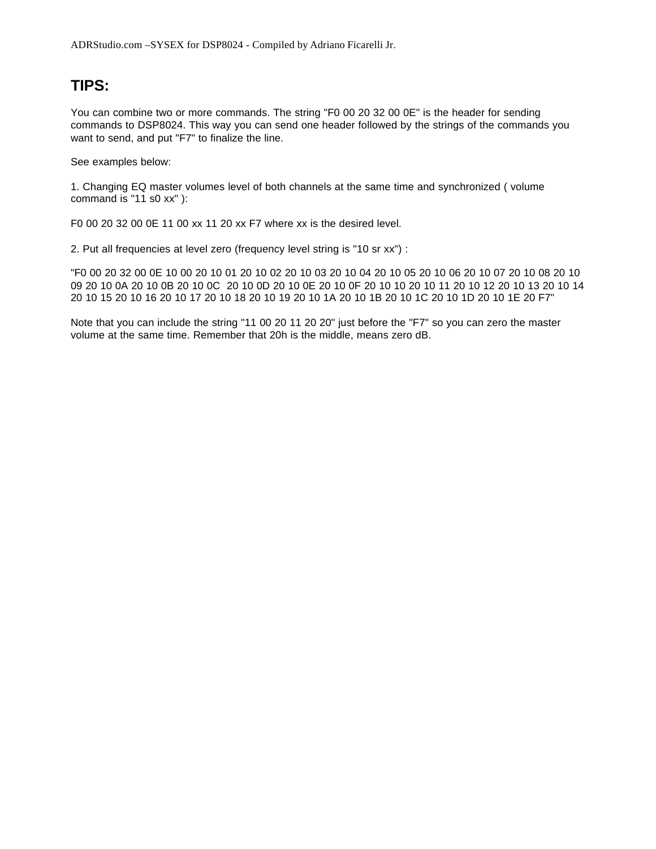# **TIPS:**

You can combine two or more commands. The string "F0 00 20 32 00 0E" is the header for sending commands to DSP8024. This way you can send one header followed by the strings of the commands you want to send, and put "F7" to finalize the line.

See examples below:

1. Changing EQ master volumes level of both channels at the same time and synchronized ( volume command is "11 s0 xx" ):

F0 00 20 32 00 0E 11 00 xx 11 20 xx F7 where xx is the desired level.

2. Put all frequencies at level zero (frequency level string is "10 sr xx") :

"F0 00 20 32 00 0E 10 00 20 10 01 20 10 02 20 10 03 20 10 04 20 10 05 20 10 06 20 10 07 20 10 08 20 10 09 20 10 0A 20 10 0B 20 10 0C 20 10 0D 20 10 0E 20 10 0F 20 10 10 20 10 11 20 10 12 20 10 13 20 10 14 20 10 15 20 10 16 20 10 17 20 10 18 20 10 19 20 10 1A 20 10 1B 20 10 1C 20 10 1D 20 10 1E 20 F7"

Note that you can include the string "11 00 20 11 20 20" just before the "F7" so you can zero the master volume at the same time. Remember that 20h is the middle, means zero dB.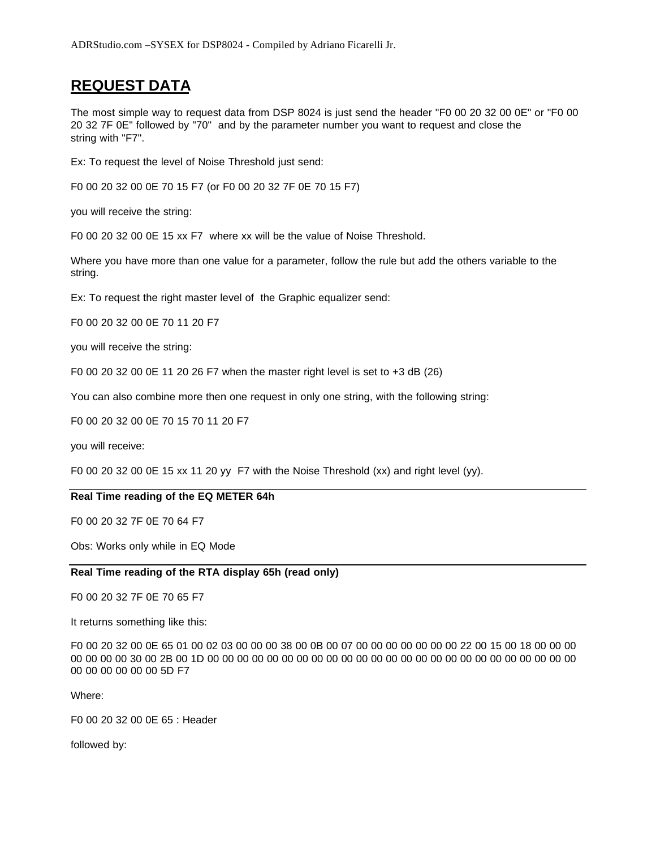# **REQUEST DATA**

The most simple way to request data from DSP 8024 is just send the header "F0 00 20 32 00 0E" or "F0 00 20 32 7F 0E" followed by "70" and by the parameter number you want to request and close the string with "F7".

Ex: To request the level of Noise Threshold just send:

F0 00 20 32 00 0E 70 15 F7 (or F0 00 20 32 7F 0E 70 15 F7)

you will receive the string:

F0 00 20 32 00 0E 15 xx F7 where xx will be the value of Noise Threshold.

Where you have more than one value for a parameter, follow the rule but add the others variable to the string.

Ex: To request the right master level of the Graphic equalizer send:

F0 00 20 32 00 0E 70 11 20 F7

you will receive the string:

F0 00 20 32 00 0E 11 20 26 F7 when the master right level is set to +3 dB (26)

You can also combine more then one request in only one string, with the following string:

F0 00 20 32 00 0E 70 15 70 11 20 F7

you will receive:

F0 00 20 32 00 0E 15 xx 11 20 yy F7 with the Noise Threshold  $(xx)$  and right level  $(yy)$ .

#### **Real Time reading of the EQ METER 64h**

F0 00 20 32 7F 0E 70 64 F7

Obs: Works only while in EQ Mode

**Real Time reading of the RTA display 65h (read only)**

F0 00 20 32 7F 0E 70 65 F7

It returns something like this:

F0 00 20 32 00 0E 65 01 00 02 03 00 00 00 38 00 0B 00 07 00 00 00 00 00 00 00 22 00 15 00 18 00 00 00 00 00 00 00 30 00 2B 00 1D 00 00 00 00 00 00 00 00 00 00 00 00 00 00 00 00 00 00 00 00 00 00 00 00 00 00 00 00 00 00 00 5D F7

Where:

F0 00 20 32 00 0E 65 : Header

followed by: